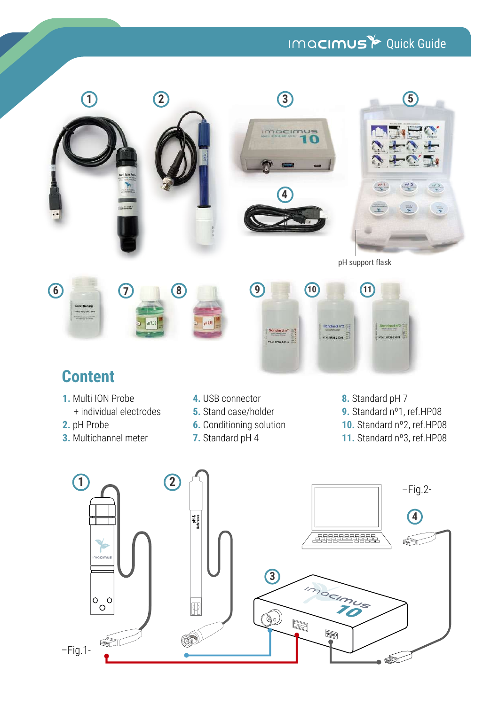# IMQCIMUS<sup>Y</sup> Quick Guide

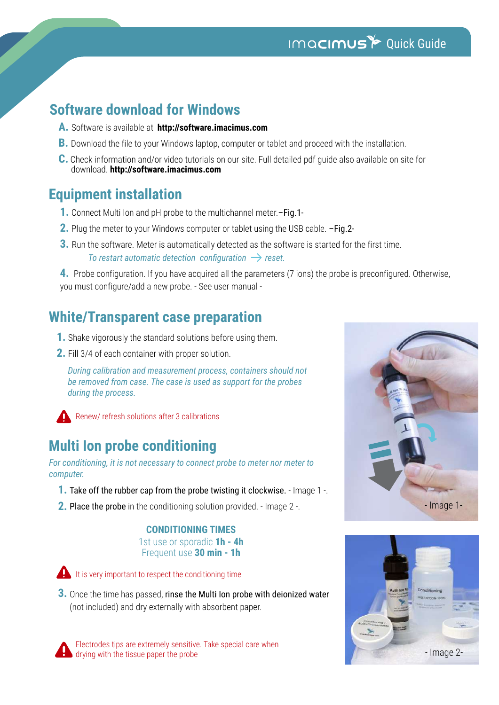## IMQCIMUS<sup>to</sup> Quick Guide

## **Software download for Windows**

- **A.** Software is available at **http://software.imacimus.com**
- **B.** Download the file to your Windows laptop, computer or tablet and proceed with the installation.
- **C.** Check information and/or video tutorials on our site. Full detailed pdf guide also available on site for download. **http://software.imacimus.com**

### **Equipment installation**

- **1.** Connect Multi Ion and pH probe to the multichannel meter.–Fig.1-
- **2.** Plug the meter to your Windows computer or tablet using the USB cable. –Fig.2-
- **3.** Run the software. Meter is automatically detected as the software is started for the first time. *To restart automatic detection configuration*  $\rightarrow$  *reset.*

**4.** Probe configuration. If you have acquired all the parameters (7 ions) the probe is preconfigured. Otherwise, you must configure/add a new probe. - See user manual -

## **White/Transparent case preparation**

- **1.** Shake vigorously the standard solutions before using them.
- **2.** Fill 3/4 of each container with proper solution.

*During calibration and measurement process, containers should not be removed from case. The case is used as support for the probes during the process.*



Renew/ refresh solutions after 3 calibrations

## **Multi Ion probe conditioning**

*For conditioning, it is not necessary to connect probe to meter nor meter to computer.* 

- **1.** Take off the rubber cap from the probe twisting it clockwise. Image 1 -.
- Place the probe in the conditioning solution provided. Image 2 -. **2.**

### **CONDITIONING TIMES**

1st use or sporadic **1h - 4h** Frequent use **30 min - 1h**



It is very important to respect the conditioning time

3. Once the time has passed, rinse the Multi Ion probe with deionized water (not included) and dry externally with absorbent paper.

Electrodes tips are extremely sensitive. Take special care when drying with the tissue paper the probe



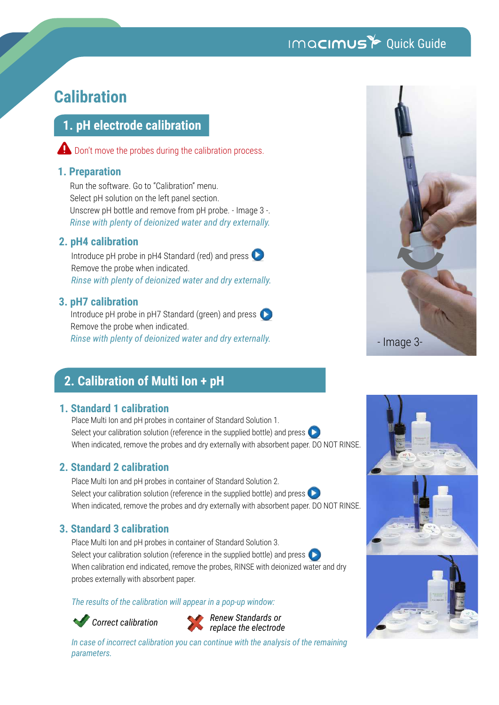## IMQCIMUS<sup>t</sup> Quick Guide

## **Calibration**

### **1. pH electrode calibration**

Don't move the probes during the calibration process.

### **1. Preparation**

Run the software. Go to "Calibration" menu. Select pH solution on the left panel section. Unscrew pH bottle and remove from pH probe. - Image 3 -. *Rinse with plenty of deionized water and dry externally.*

### **2. pH4 calibration**

Introduce pH probe in pH4 Standard (red) and press Remove the probe when indicated. *Rinse with plenty of deionized water and dry externally.*

### **3. pH7 calibration**

Introduce pH probe in pH7 Standard (green) and press Remove the probe when indicated. *Rinse with plenty of deionized water and dry externally.*

### **2. Calibration of Multi Ion + pH**

### **1. Standard 1 calibration**

Place Multi Ion and pH probes in container of Standard Solution 1. Select your calibration solution (reference in the supplied bottle) and press When indicated, remove the probes and dry externally with absorbent paper. DO NOT RINSE.

### **2. Standard 2 calibration**

Place Multi Ion and pH probes in container of Standard Solution 2. Select your calibration solution (reference in the supplied bottle) and press  $\Box$ When indicated, remove the probes and dry externally with absorbent paper. DO NOT RINSE.

### **3. Standard 3 calibration**

Place Multi Ion and pH probes in container of Standard Solution 3. Select your calibration solution (reference in the supplied bottle) and press When calibration end indicated, remove the probes, RINSE with deionized water and dry probes externally with absorbent paper.

#### *The results of the calibration will appear in a pop-up window:*

*Correct calibration Renew Standards or replace the electrode*

*In case of incorrect calibration you can continue with the analysis of the remaining parameters.*